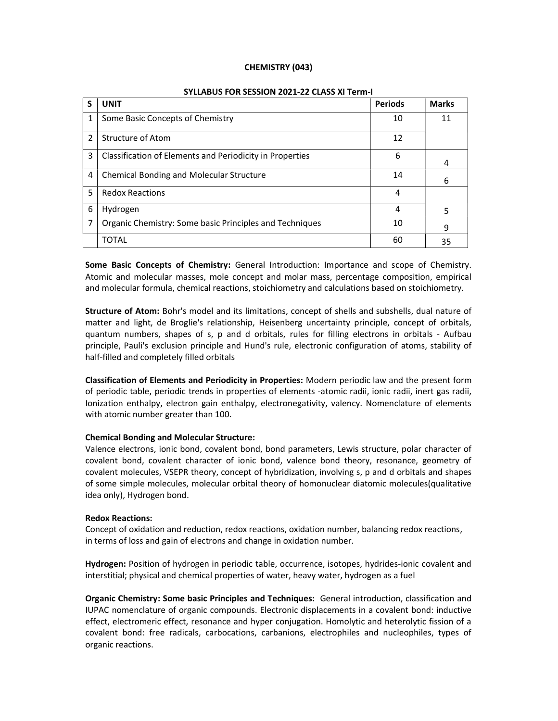#### CHEMISTRY (043)

| S             | <b>UNIT</b>                                              | <b>Periods</b> | <b>Marks</b> |
|---------------|----------------------------------------------------------|----------------|--------------|
| 1             | Some Basic Concepts of Chemistry                         | 10             | 11           |
| $\mathcal{P}$ | Structure of Atom                                        | 12             |              |
| 3             | Classification of Elements and Periodicity in Properties | 6              | 4            |
| 4             | <b>Chemical Bonding and Molecular Structure</b>          | 14             | 6            |
| 5             | <b>Redox Reactions</b>                                   | 4              |              |
| 6             | Hydrogen                                                 | 4              | 5            |
|               | Organic Chemistry: Some basic Principles and Techniques  | 10             | 9            |
|               | <b>TOTAL</b>                                             | 60             | 35           |

#### SYLLABUS FOR SESSION 2021-22 CLASS XI Term-I

Some Basic Concepts of Chemistry: General Introduction: Importance and scope of Chemistry. Atomic and molecular masses, mole concept and molar mass, percentage composition, empirical and molecular formula, chemical reactions, stoichiometry and calculations based on stoichiometry.

Structure of Atom: Bohr's model and its limitations, concept of shells and subshells, dual nature of matter and light, de Broglie's relationship, Heisenberg uncertainty principle, concept of orbitals, quantum numbers, shapes of s, p and d orbitals, rules for filling electrons in orbitals - Aufbau principle, Pauli's exclusion principle and Hund's rule, electronic configuration of atoms, stability of half-filled and completely filled orbitals

Classification of Elements and Periodicity in Properties: Modern periodic law and the present form of periodic table, periodic trends in properties of elements -atomic radii, ionic radii, inert gas radii, Ionization enthalpy, electron gain enthalpy, electronegativity, valency. Nomenclature of elements with atomic number greater than 100.

#### Chemical Bonding and Molecular Structure:

Valence electrons, ionic bond, covalent bond, bond parameters, Lewis structure, polar character of covalent bond, covalent character of ionic bond, valence bond theory, resonance, geometry of covalent molecules, VSEPR theory, concept of hybridization, involving s, p and d orbitals and shapes of some simple molecules, molecular orbital theory of homonuclear diatomic molecules(qualitative idea only), Hydrogen bond.

#### Redox Reactions:

Concept of oxidation and reduction, redox reactions, oxidation number, balancing redox reactions, in terms of loss and gain of electrons and change in oxidation number.

Hydrogen: Position of hydrogen in periodic table, occurrence, isotopes, hydrides-ionic covalent and interstitial; physical and chemical properties of water, heavy water, hydrogen as a fuel

Organic Chemistry: Some basic Principles and Techniques: General introduction, classification and IUPAC nomenclature of organic compounds. Electronic displacements in a covalent bond: inductive effect, electromeric effect, resonance and hyper conjugation. Homolytic and heterolytic fission of a covalent bond: free radicals, carbocations, carbanions, electrophiles and nucleophiles, types of organic reactions.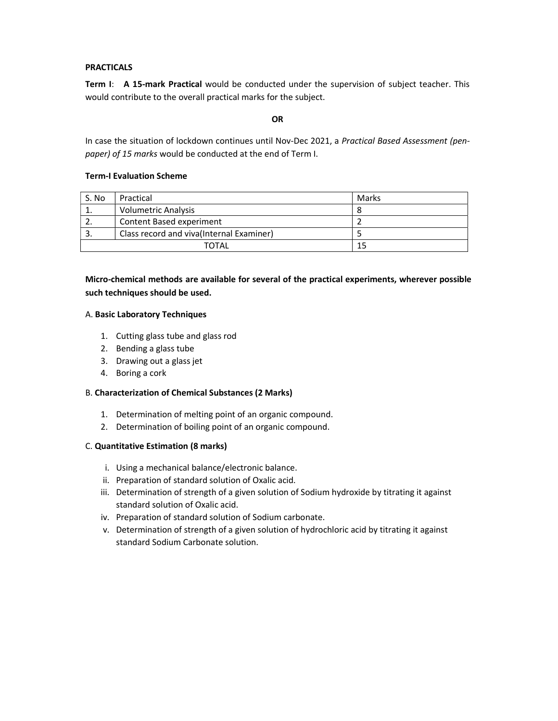## PRACTICALS

Term I: A 15-mark Practical would be conducted under the supervision of subject teacher. This would contribute to the overall practical marks for the subject.

#### **OR**

In case the situation of lockdown continues until Nov-Dec 2021, a Practical Based Assessment (penpaper) of 15 marks would be conducted at the end of Term I.

## Term-I Evaluation Scheme

| S. No | Practical                                | Marks |
|-------|------------------------------------------|-------|
|       | <b>Volumetric Analysis</b>               |       |
|       | Content Based experiment                 |       |
|       | Class record and viva(Internal Examiner) |       |
| TOTAI |                                          |       |

Micro-chemical methods are available for several of the practical experiments, wherever possible such techniques should be used.

#### A. Basic Laboratory Techniques

- 1. Cutting glass tube and glass rod
- 2. Bending a glass tube
- 3. Drawing out a glass jet
- 4. Boring a cork

## B. Characterization of Chemical Substances (2 Marks)

- 1. Determination of melting point of an organic compound.
- 2. Determination of boiling point of an organic compound.

#### C. Quantitative Estimation (8 marks)

- i. Using a mechanical balance/electronic balance.
- ii. Preparation of standard solution of Oxalic acid.
- iii. Determination of strength of a given solution of Sodium hydroxide by titrating it against standard solution of Oxalic acid.
- iv. Preparation of standard solution of Sodium carbonate.
- v. Determination of strength of a given solution of hydrochloric acid by titrating it against standard Sodium Carbonate solution.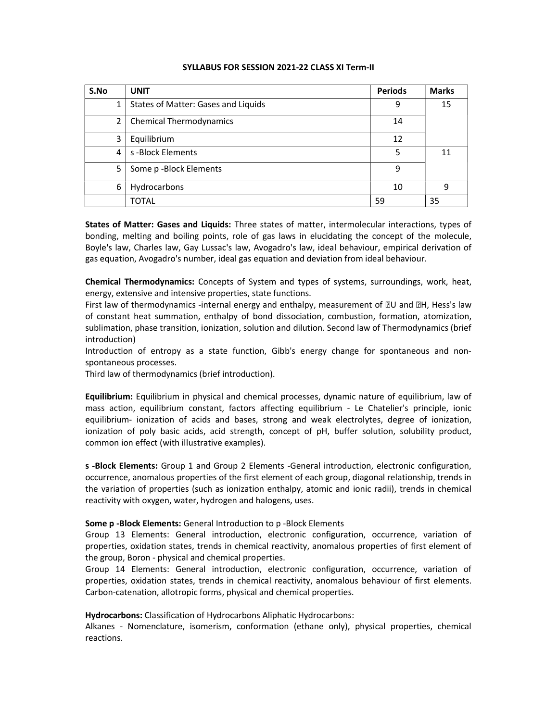| S.No           | <b>UNIT</b>                         | <b>Periods</b> | <b>Marks</b> |
|----------------|-------------------------------------|----------------|--------------|
| 1              | States of Matter: Gases and Liquids | 9              | 15           |
| $\overline{2}$ | <b>Chemical Thermodynamics</b>      | 14             |              |
| 3              | Equilibrium                         | 12             |              |
| 4              | s-Block Elements                    | 5              | 11           |
| 5              | Some p-Block Elements               | 9              |              |
| 6              | Hydrocarbons                        | 10             | 9            |
|                | <b>TOTAL</b>                        | 59             | 35           |

#### SYLLABUS FOR SESSION 2021-22 CLASS XI Term-II

States of Matter: Gases and Liquids: Three states of matter, intermolecular interactions, types of bonding, melting and boiling points, role of gas laws in elucidating the concept of the molecule, Boyle's law, Charles law, Gay Lussac's law, Avogadro's law, ideal behaviour, empirical derivation of gas equation, Avogadro's number, ideal gas equation and deviation from ideal behaviour.

Chemical Thermodynamics: Concepts of System and types of systems, surroundings, work, heat, energy, extensive and intensive properties, state functions.

First law of thermodynamics -internal energy and enthalpy, measurement of  $\mathbb{D}U$  and  $\mathbb{D}H$ , Hess's law of constant heat summation, enthalpy of bond dissociation, combustion, formation, atomization, sublimation, phase transition, ionization, solution and dilution. Second law of Thermodynamics (brief introduction)

Introduction of entropy as a state function, Gibb's energy change for spontaneous and nonspontaneous processes.

Third law of thermodynamics (brief introduction).

Equilibrium: Equilibrium in physical and chemical processes, dynamic nature of equilibrium, law of mass action, equilibrium constant, factors affecting equilibrium - Le Chatelier's principle, ionic equilibrium- ionization of acids and bases, strong and weak electrolytes, degree of ionization, ionization of poly basic acids, acid strength, concept of pH, buffer solution, solubility product, common ion effect (with illustrative examples).

s -Block Elements: Group 1 and Group 2 Elements -General introduction, electronic configuration, occurrence, anomalous properties of the first element of each group, diagonal relationship, trends in the variation of properties (such as ionization enthalpy, atomic and ionic radii), trends in chemical reactivity with oxygen, water, hydrogen and halogens, uses.

#### Some p -Block Elements: General Introduction to p -Block Elements

Group 13 Elements: General introduction, electronic configuration, occurrence, variation of properties, oxidation states, trends in chemical reactivity, anomalous properties of first element of the group, Boron - physical and chemical properties.

Group 14 Elements: General introduction, electronic configuration, occurrence, variation of properties, oxidation states, trends in chemical reactivity, anomalous behaviour of first elements. Carbon-catenation, allotropic forms, physical and chemical properties.

Hydrocarbons: Classification of Hydrocarbons Aliphatic Hydrocarbons:

Alkanes - Nomenclature, isomerism, conformation (ethane only), physical properties, chemical reactions.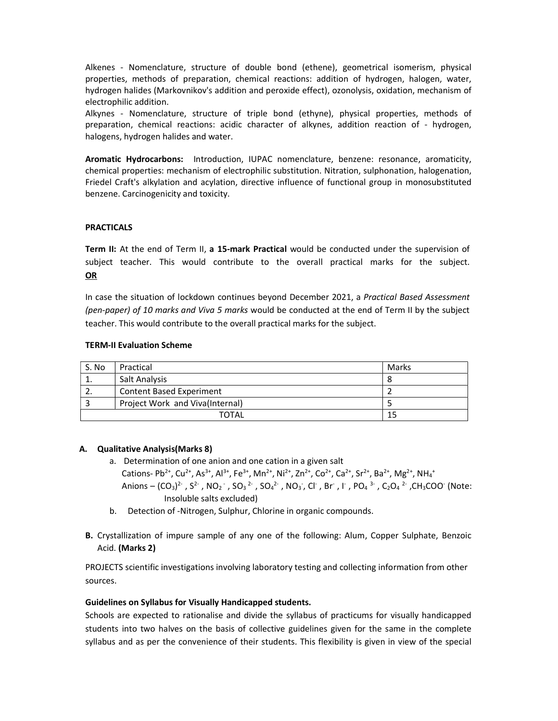Alkenes - Nomenclature, structure of double bond (ethene), geometrical isomerism, physical properties, methods of preparation, chemical reactions: addition of hydrogen, halogen, water, hydrogen halides (Markovnikov's addition and peroxide effect), ozonolysis, oxidation, mechanism of electrophilic addition.

Alkynes - Nomenclature, structure of triple bond (ethyne), physical properties, methods of preparation, chemical reactions: acidic character of alkynes, addition reaction of - hydrogen, halogens, hydrogen halides and water.

Aromatic Hydrocarbons: Introduction, IUPAC nomenclature, benzene: resonance, aromaticity, chemical properties: mechanism of electrophilic substitution. Nitration, sulphonation, halogenation, Friedel Craft's alkylation and acylation, directive influence of functional group in monosubstituted benzene. Carcinogenicity and toxicity.

#### PRACTICALS

Term II: At the end of Term II, a 15-mark Practical would be conducted under the supervision of subject teacher. This would contribute to the overall practical marks for the subject. OR

In case the situation of lockdown continues beyond December 2021, a Practical Based Assessment (pen-paper) of 10 marks and Viva 5 marks would be conducted at the end of Term II by the subject teacher. This would contribute to the overall practical marks for the subject.

#### TERM-II Evaluation Scheme

| S. No       | Practical                       | Marks |
|-------------|---------------------------------|-------|
|             | Salt Analysis                   |       |
|             | <b>Content Based Experiment</b> |       |
|             | Project Work and Viva(Internal) |       |
| TOTAL<br>15 |                                 |       |

#### A. Qualitative Analysis(Marks 8)

- a. Determination of one anion and one cation in a given salt Cations- Pb<sup>2+</sup>, Cu<sup>2+</sup>, As<sup>3+</sup>, Al<sup>3+</sup>, Fe<sup>3+</sup>, Mn<sup>2+</sup>, Ni<sup>2+</sup>, Zn<sup>2+</sup>, Co<sup>2+</sup>, Ca<sup>2+</sup>, Sr<sup>2+</sup>, Ba<sup>2+</sup>, Mg<sup>2+</sup>, NH<sub>4</sub><sup>+</sup> Anions –  $(CO_3)^2$ ,  $S^2$ ,  $NO_2$ ,  $SO_3^2$ ,  $SO_4^2$ ,  $NO_3$ , Cl, Br, I,  $PO_4^3$ ,  $C_2O_4^2$ ,  $CH_3COO$  (Note: Insoluble salts excluded)
- b. Detection of -Nitrogen, Sulphur, Chlorine in organic compounds.
- B. Crystallization of impure sample of any one of the following: Alum, Copper Sulphate, Benzoic Acid. (Marks 2)

PROJECTS scientific investigations involving laboratory testing and collecting information from other sources.

#### Guidelines on Syllabus for Visually Handicapped students.

Schools are expected to rationalise and divide the syllabus of practicums for visually handicapped students into two halves on the basis of collective guidelines given for the same in the complete syllabus and as per the convenience of their students. This flexibility is given in view of the special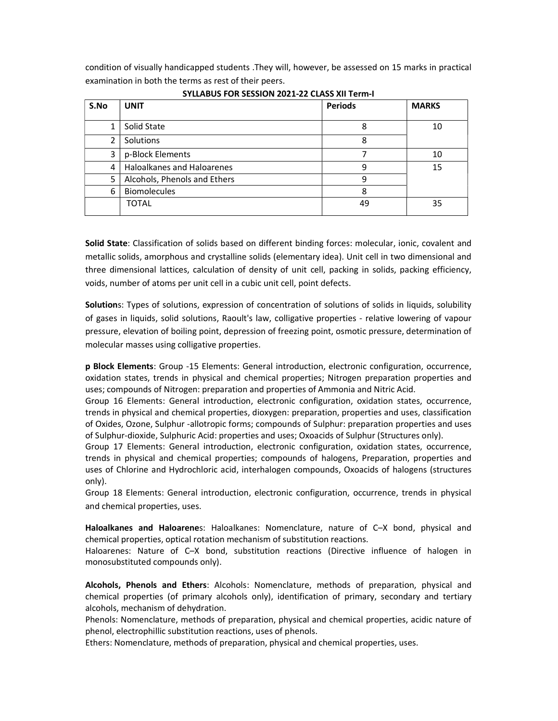condition of visually handicapped students .They will, however, be assessed on 15 marks in practical examination in both the terms as rest of their peers.

| S.No | <b>UNIT</b>                  | <b>Periods</b> | <b>MARKS</b> |
|------|------------------------------|----------------|--------------|
| 1    | Solid State                  | 8              | 10           |
| 2    | Solutions                    | 8              |              |
| 3    | p-Block Elements             |                | 10           |
| 4    | Haloalkanes and Haloarenes   | 9              | 15           |
| 5    | Alcohols, Phenols and Ethers | 9              |              |
| 6    | <b>Biomolecules</b>          | 8              |              |
|      | <b>TOTAL</b>                 | 49             | 35           |

SYLLABUS FOR SESSION 2021-22 CLASS XII Term-I

Solid State: Classification of solids based on different binding forces: molecular, ionic, covalent and metallic solids, amorphous and crystalline solids (elementary idea). Unit cell in two dimensional and three dimensional lattices, calculation of density of unit cell, packing in solids, packing efficiency, voids, number of atoms per unit cell in a cubic unit cell, point defects.

Solutions: Types of solutions, expression of concentration of solutions of solids in liquids, solubility of gases in liquids, solid solutions, Raoult's law, colligative properties - relative lowering of vapour pressure, elevation of boiling point, depression of freezing point, osmotic pressure, determination of molecular masses using colligative properties.

p Block Elements: Group -15 Elements: General introduction, electronic configuration, occurrence, oxidation states, trends in physical and chemical properties; Nitrogen preparation properties and uses; compounds of Nitrogen: preparation and properties of Ammonia and Nitric Acid.

Group 16 Elements: General introduction, electronic configuration, oxidation states, occurrence, trends in physical and chemical properties, dioxygen: preparation, properties and uses, classification of Oxides, Ozone, Sulphur -allotropic forms; compounds of Sulphur: preparation properties and uses of Sulphur-dioxide, Sulphuric Acid: properties and uses; Oxoacids of Sulphur (Structures only).

Group 17 Elements: General introduction, electronic configuration, oxidation states, occurrence, trends in physical and chemical properties; compounds of halogens, Preparation, properties and uses of Chlorine and Hydrochloric acid, interhalogen compounds, Oxoacids of halogens (structures only).

Group 18 Elements: General introduction, electronic configuration, occurrence, trends in physical and chemical properties, uses.

Haloalkanes and Haloarenes: Haloalkanes: Nomenclature, nature of C–X bond, physical and chemical properties, optical rotation mechanism of substitution reactions.

Haloarenes: Nature of C–X bond, substitution reactions (Directive influence of halogen in monosubstituted compounds only).

Alcohols, Phenols and Ethers: Alcohols: Nomenclature, methods of preparation, physical and chemical properties (of primary alcohols only), identification of primary, secondary and tertiary alcohols, mechanism of dehydration.

Phenols: Nomenclature, methods of preparation, physical and chemical properties, acidic nature of phenol, electrophillic substitution reactions, uses of phenols.

Ethers: Nomenclature, methods of preparation, physical and chemical properties, uses.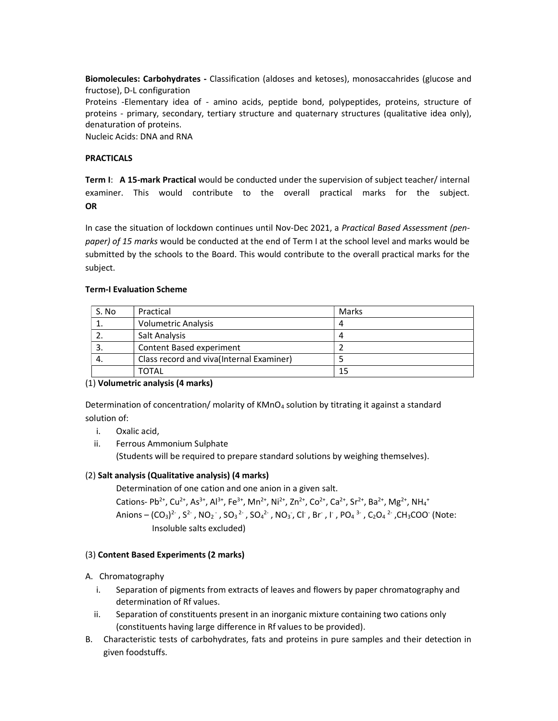Biomolecules: Carbohydrates - Classification (aldoses and ketoses), monosaccahrides (glucose and fructose), D-L configuration Proteins -Elementary idea of - amino acids, peptide bond, polypeptides, proteins, structure of proteins - primary, secondary, tertiary structure and quaternary structures (qualitative idea only), denaturation of proteins. Nucleic Acids: DNA and RNA

## **PRACTICALS**

Term I: A 15-mark Practical would be conducted under the supervision of subject teacher/ internal examiner. This would contribute to the overall practical marks for the subject. **OR** 

In case the situation of lockdown continues until Nov-Dec 2021, a Practical Based Assessment (penpaper) of 15 marks would be conducted at the end of Term I at the school level and marks would be submitted by the schools to the Board. This would contribute to the overall practical marks for the subject.

## Term-I Evaluation Scheme

| S. No | Practical                                 | Marks |  |
|-------|-------------------------------------------|-------|--|
| 1.    | <b>Volumetric Analysis</b>                | 4     |  |
|       | Salt Analysis                             | 4     |  |
|       | Content Based experiment                  |       |  |
| 4.    | Class record and viva (Internal Examiner) |       |  |
|       | <b>TOTAL</b>                              | 15    |  |

## (1) Volumetric analysis (4 marks)

Determination of concentration/ molarity of KMnO<sub>4</sub> solution by titrating it against a standard solution of:

- i. Oxalic acid,
- ii. Ferrous Ammonium Sulphate

(Students will be required to prepare standard solutions by weighing themselves).

## (2) Salt analysis (Qualitative analysis) (4 marks)

Determination of one cation and one anion in a given salt.

Cations- Pb<sup>2+</sup>, Cu<sup>2+</sup>, As<sup>3+</sup>, Al<sup>3+</sup>, Fe<sup>3+</sup>, Mn<sup>2+</sup>, Ni<sup>2+</sup>, Zn<sup>2+</sup>, Co<sup>2+</sup>, Ca<sup>2+</sup>, Sr<sup>2+</sup>, Ba<sup>2+</sup>, Mg<sup>2+</sup>, NH<sub>4</sub><sup>+</sup> Anions –  $(CO_3)^2$ ,  $S^2$ ,  $NO_2$ ,  $SO_3^2$ ,  $SO_4^2$ ,  $NO_3$ , Cl, Br, I,  $PO_4^3$ ,  $C_2O_4^2$ ,  $CH_3COO$  (Note: Insoluble salts excluded)

## (3) Content Based Experiments (2 marks)

## A. Chromatography

- i. Separation of pigments from extracts of leaves and flowers by paper chromatography and determination of Rf values.
- ii. Separation of constituents present in an inorganic mixture containing two cations only (constituents having large difference in Rf values to be provided).
- B. Characteristic tests of carbohydrates, fats and proteins in pure samples and their detection in given foodstuffs.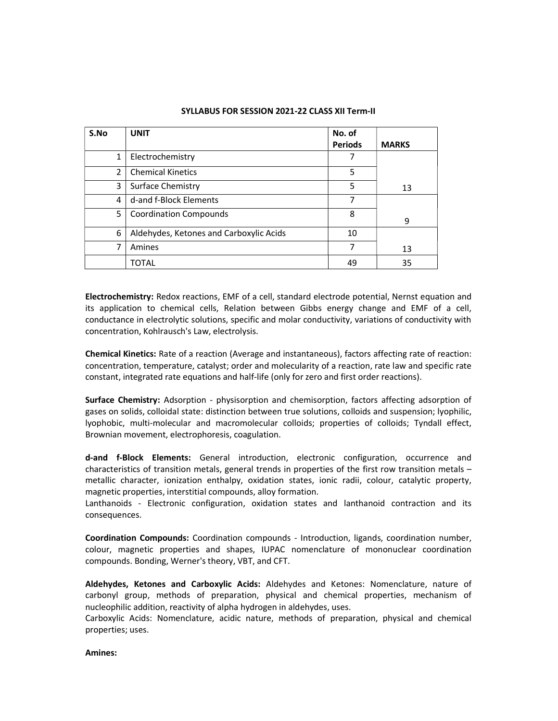| S.No          | <b>UNIT</b>                             | No. of<br><b>Periods</b> | <b>MARKS</b> |
|---------------|-----------------------------------------|--------------------------|--------------|
| 1             | Electrochemistry                        | 7                        |              |
| $\mathcal{P}$ | <b>Chemical Kinetics</b>                | 5                        |              |
| 3             | Surface Chemistry                       | 5                        | 13           |
| 4             | d-and f-Block Elements                  | 7                        |              |
| 5             | <b>Coordination Compounds</b>           | 8                        | 9            |
| 6             | Aldehydes, Ketones and Carboxylic Acids | 10                       |              |
| 7             | Amines                                  | 7                        | 13           |
|               | TOTAL                                   | 49                       | 35           |

#### SYLLABUS FOR SESSION 2021-22 CLASS XII Term-II

Electrochemistry: Redox reactions, EMF of a cell, standard electrode potential, Nernst equation and its application to chemical cells, Relation between Gibbs energy change and EMF of a cell, conductance in electrolytic solutions, specific and molar conductivity, variations of conductivity with concentration, Kohlrausch's Law, electrolysis.

Chemical Kinetics: Rate of a reaction (Average and instantaneous), factors affecting rate of reaction: concentration, temperature, catalyst; order and molecularity of a reaction, rate law and specific rate constant, integrated rate equations and half-life (only for zero and first order reactions).

Surface Chemistry: Adsorption - physisorption and chemisorption, factors affecting adsorption of gases on solids, colloidal state: distinction between true solutions, colloids and suspension; lyophilic, lyophobic, multi-molecular and macromolecular colloids; properties of colloids; Tyndall effect, Brownian movement, electrophoresis, coagulation.

d-and f-Block Elements: General introduction, electronic configuration, occurrence and characteristics of transition metals, general trends in properties of the first row transition metals – metallic character, ionization enthalpy, oxidation states, ionic radii, colour, catalytic property, magnetic properties, interstitial compounds, alloy formation.

Lanthanoids - Electronic configuration, oxidation states and lanthanoid contraction and its consequences.

Coordination Compounds: Coordination compounds - Introduction, ligands, coordination number, colour, magnetic properties and shapes, IUPAC nomenclature of mononuclear coordination compounds. Bonding, Werner's theory, VBT, and CFT.

Aldehydes, Ketones and Carboxylic Acids: Aldehydes and Ketones: Nomenclature, nature of carbonyl group, methods of preparation, physical and chemical properties, mechanism of nucleophilic addition, reactivity of alpha hydrogen in aldehydes, uses.

Carboxylic Acids: Nomenclature, acidic nature, methods of preparation, physical and chemical properties; uses.

#### Amines: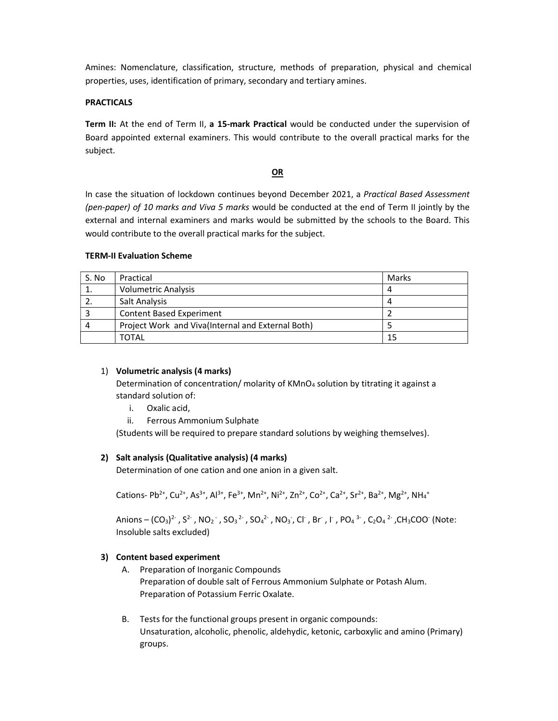Amines: Nomenclature, classification, structure, methods of preparation, physical and chemical properties, uses, identification of primary, secondary and tertiary amines.

## **PRACTICALS**

Term II: At the end of Term II, a 15-mark Practical would be conducted under the supervision of Board appointed external examiners. This would contribute to the overall practical marks for the subject.

#### OR

In case the situation of lockdown continues beyond December 2021, a Practical Based Assessment (pen-paper) of 10 marks and Viva 5 marks would be conducted at the end of Term II jointly by the external and internal examiners and marks would be submitted by the schools to the Board. This would contribute to the overall practical marks for the subject.

## TERM-II Evaluation Scheme

| S. No | Practical                                         | Marks |
|-------|---------------------------------------------------|-------|
|       | <b>Volumetric Analysis</b>                        | 4     |
|       | Salt Analysis                                     | 4     |
|       | Content Based Experiment                          |       |
| 4     | Project Work and Viva(Internal and External Both) |       |
|       | TOTAL                                             | 15    |

## 1) Volumetric analysis (4 marks)

Determination of concentration/ molarity of  $KMnO<sub>4</sub>$  solution by titrating it against a standard solution of:

- i. Oxalic acid,
- ii. Ferrous Ammonium Sulphate

(Students will be required to prepare standard solutions by weighing themselves).

## 2) Salt analysis (Qualitative analysis) (4 marks)

Determination of one cation and one anion in a given salt.

Cations- Pb<sup>2+</sup>, Cu<sup>2+</sup>, As<sup>3+</sup>, Al<sup>3+</sup>, Fe<sup>3+</sup>, Mn<sup>2+</sup>, Ni<sup>2+</sup>, Zn<sup>2+</sup>, Co<sup>2+</sup>, Ca<sup>2+</sup>, Sr<sup>2+</sup>, Ba<sup>2+</sup>, Mg<sup>2+</sup>, NH<sub>4</sub><sup>+</sup>

Anions –  $(CO_3)^2$ ,  $S^2$ ,  $NO_2$ ,  $SO_3^2$ ,  $SO_4^2$ ,  $NO_3$ , Cl, Br, I,  $PO_4^3$ ,  $C_2O_4^2$ ,  $CH_3COO$  (Note: Insoluble salts excluded)

## 3) Content based experiment

- A. Preparation of Inorganic Compounds Preparation of double salt of Ferrous Ammonium Sulphate or Potash Alum. Preparation of Potassium Ferric Oxalate.
- B. Tests for the functional groups present in organic compounds: Unsaturation, alcoholic, phenolic, aldehydic, ketonic, carboxylic and amino (Primary) groups.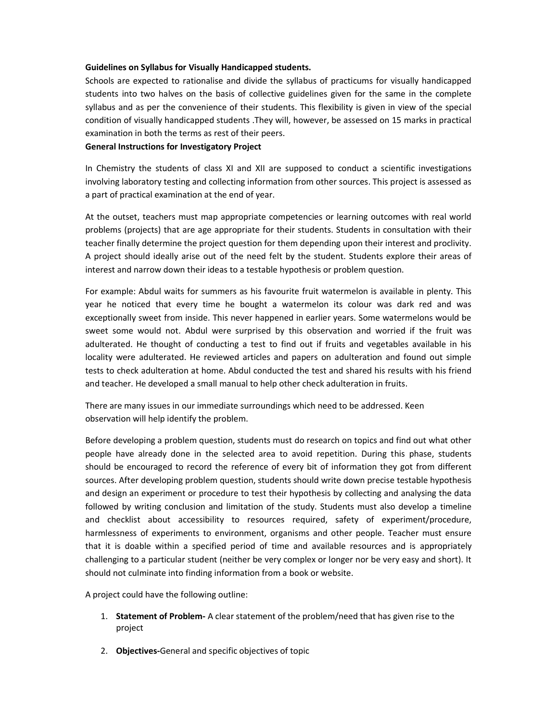#### Guidelines on Syllabus for Visually Handicapped students.

Schools are expected to rationalise and divide the syllabus of practicums for visually handicapped students into two halves on the basis of collective guidelines given for the same in the complete syllabus and as per the convenience of their students. This flexibility is given in view of the special condition of visually handicapped students .They will, however, be assessed on 15 marks in practical examination in both the terms as rest of their peers.

#### General Instructions for Investigatory Project

In Chemistry the students of class XI and XII are supposed to conduct a scientific investigations involving laboratory testing and collecting information from other sources. This project is assessed as a part of practical examination at the end of year.

At the outset, teachers must map appropriate competencies or learning outcomes with real world problems (projects) that are age appropriate for their students. Students in consultation with their teacher finally determine the project question for them depending upon their interest and proclivity. A project should ideally arise out of the need felt by the student. Students explore their areas of interest and narrow down their ideas to a testable hypothesis or problem question.

For example: Abdul waits for summers as his favourite fruit watermelon is available in plenty. This year he noticed that every time he bought a watermelon its colour was dark red and was exceptionally sweet from inside. This never happened in earlier years. Some watermelons would be sweet some would not. Abdul were surprised by this observation and worried if the fruit was adulterated. He thought of conducting a test to find out if fruits and vegetables available in his locality were adulterated. He reviewed articles and papers on adulteration and found out simple tests to check adulteration at home. Abdul conducted the test and shared his results with his friend and teacher. He developed a small manual to help other check adulteration in fruits.

There are many issues in our immediate surroundings which need to be addressed. Keen observation will help identify the problem.

Before developing a problem question, students must do research on topics and find out what other people have already done in the selected area to avoid repetition. During this phase, students should be encouraged to record the reference of every bit of information they got from different sources. After developing problem question, students should write down precise testable hypothesis and design an experiment or procedure to test their hypothesis by collecting and analysing the data followed by writing conclusion and limitation of the study. Students must also develop a timeline and checklist about accessibility to resources required, safety of experiment/procedure, harmlessness of experiments to environment, organisms and other people. Teacher must ensure that it is doable within a specified period of time and available resources and is appropriately challenging to a particular student (neither be very complex or longer nor be very easy and short). It should not culminate into finding information from a book or website.

A project could have the following outline:

- 1. Statement of Problem- A clear statement of the problem/need that has given rise to the project
- 2. **Objectives-**General and specific objectives of topic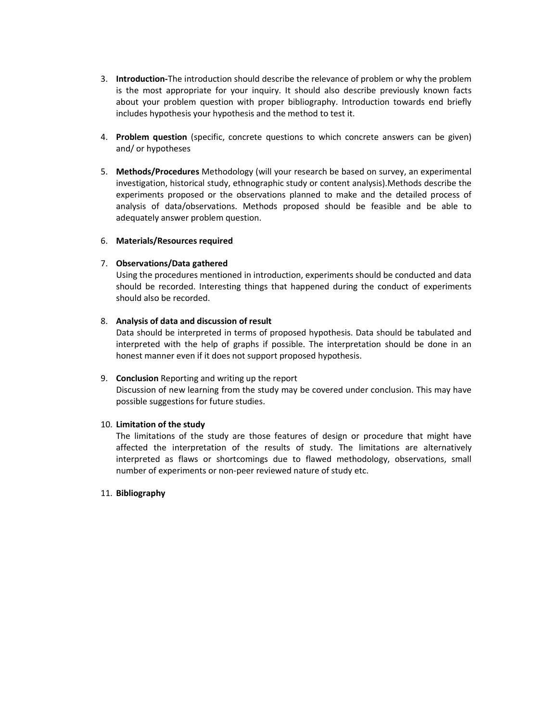- 3. Introduction-The introduction should describe the relevance of problem or why the problem is the most appropriate for your inquiry. It should also describe previously known facts about your problem question with proper bibliography. Introduction towards end briefly includes hypothesis your hypothesis and the method to test it.
- 4. **Problem question** (specific, concrete questions to which concrete answers can be given) and/ or hypotheses
- 5. Methods/Procedures Methodology (will your research be based on survey, an experimental investigation, historical study, ethnographic study or content analysis).Methods describe the experiments proposed or the observations planned to make and the detailed process of analysis of data/observations. Methods proposed should be feasible and be able to adequately answer problem question.

#### 6. Materials/Resources required

#### 7. Observations/Data gathered

Using the procedures mentioned in introduction, experiments should be conducted and data should be recorded. Interesting things that happened during the conduct of experiments should also be recorded.

## 8. Analysis of data and discussion of result

Data should be interpreted in terms of proposed hypothesis. Data should be tabulated and interpreted with the help of graphs if possible. The interpretation should be done in an honest manner even if it does not support proposed hypothesis.

## 9. Conclusion Reporting and writing up the report

Discussion of new learning from the study may be covered under conclusion. This may have possible suggestions for future studies.

## 10. Limitation of the study

The limitations of the study are those features of design or procedure that might have affected the interpretation of the results of study. The limitations are alternatively interpreted as flaws or shortcomings due to flawed methodology, observations, small number of experiments or non-peer reviewed nature of study etc.

## 11. Bibliography